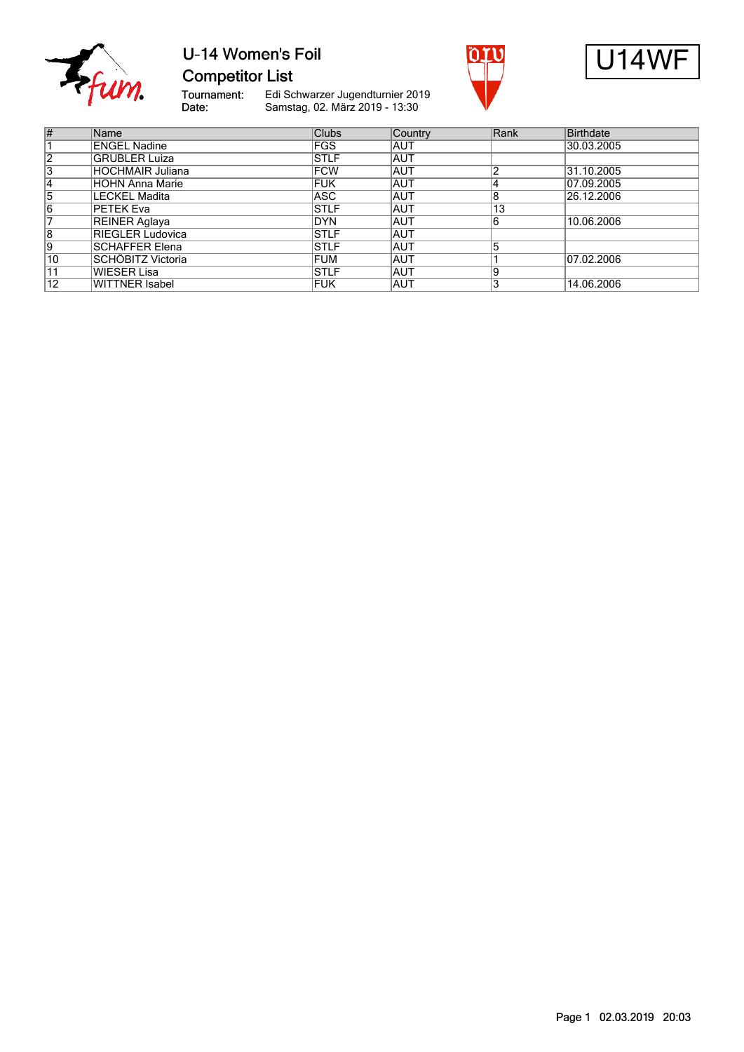

#### U-14 Women's Foil **Competitor List**





Tournament:<br>Date: Edi Schwarzer Jugendturnier 2019 Samstag, 02. März 2019 - 13:30

| #               | Name                    | <b>Clubs</b> | Country    | Rank | Birthdate  |
|-----------------|-------------------------|--------------|------------|------|------------|
|                 | <b>ENGEL Nadine</b>     | <b>FGS</b>   | <b>AUT</b> |      | 30.03.2005 |
| $\overline{2}$  | <b>GRÜBLER Luiza</b>    | <b>STLF</b>  | <b>AUT</b> |      |            |
| 3               | <b>HOCHMAIR Juliana</b> | <b>FCW</b>   | <b>AUT</b> |      | 31.10.2005 |
| 14              | HÖHN Anna Marie         | <b>FUK</b>   | <b>AUT</b> |      | 07.09.2005 |
| 5               | <b>LECKEL Madita</b>    | <b>ASC</b>   | <b>AUT</b> | 8    | 26.12.2006 |
| $\overline{6}$  | PETEK Eva               | <b>STLF</b>  | <b>AUT</b> | 13   |            |
|                 | REINER Aglaya           | <b>DYN</b>   | <b>AUT</b> |      | 10.06.2006 |
| $\overline{8}$  | RIEGLER Ludovica        | <b>STLF</b>  | <b>AUT</b> |      |            |
| 9               | <b>SCHAFFER Elena</b>   | <b>STLF</b>  | <b>AUT</b> |      |            |
| $\overline{10}$ | SCHÖBITZ Victoria       | <b>FUM</b>   | <b>AUT</b> |      | 07.02.2006 |
| 11              | <b>WIESER Lisa</b>      | <b>STLF</b>  | <b>AUT</b> | 19   |            |
| $\overline{12}$ | <b>WITTNER Isabel</b>   | <b>FUK</b>   | <b>AUT</b> |      | 14.06.2006 |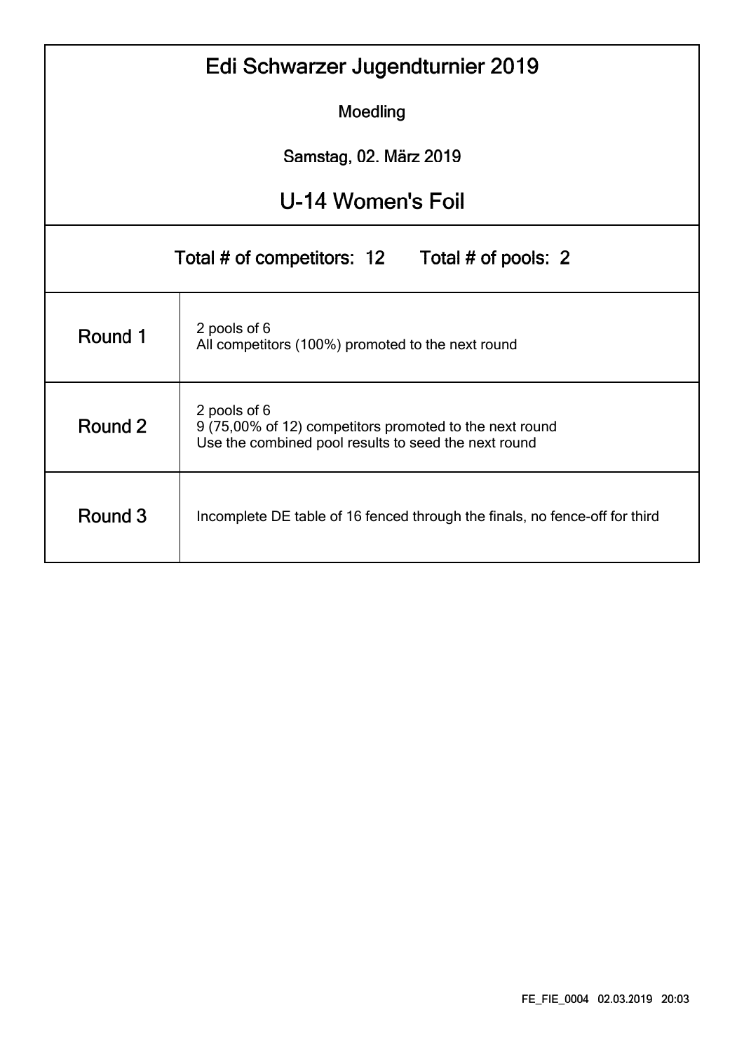|                                                                                        | Edi Schwarzer Jugendturnier 2019                                                                                                |  |  |  |  |  |  |  |  |  |  |
|----------------------------------------------------------------------------------------|---------------------------------------------------------------------------------------------------------------------------------|--|--|--|--|--|--|--|--|--|--|
| Moedling                                                                               |                                                                                                                                 |  |  |  |  |  |  |  |  |  |  |
| Samstag, 02. März 2019                                                                 |                                                                                                                                 |  |  |  |  |  |  |  |  |  |  |
|                                                                                        | U-14 Women's Foil                                                                                                               |  |  |  |  |  |  |  |  |  |  |
| Total # of competitors: 12<br>Total # of pools: 2                                      |                                                                                                                                 |  |  |  |  |  |  |  |  |  |  |
| Round 1                                                                                | 2 pools of 6<br>All competitors (100%) promoted to the next round                                                               |  |  |  |  |  |  |  |  |  |  |
| Round 2                                                                                | 2 pools of 6<br>9 (75,00% of 12) competitors promoted to the next round<br>Use the combined pool results to seed the next round |  |  |  |  |  |  |  |  |  |  |
| Round 3<br>Incomplete DE table of 16 fenced through the finals, no fence-off for third |                                                                                                                                 |  |  |  |  |  |  |  |  |  |  |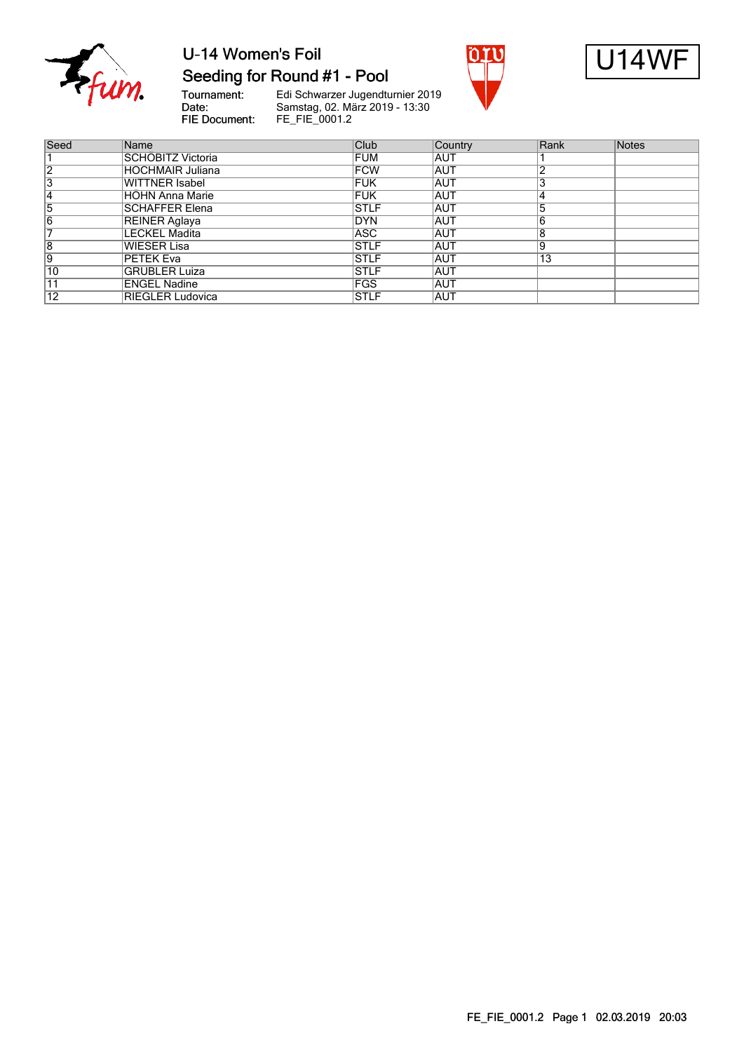

# U-14 Women's Foil



Tournament:<br>Date: FIE Document:



| Seed            | Name                    | Club        | Country    | Rank | <b>Notes</b> |
|-----------------|-------------------------|-------------|------------|------|--------------|
|                 | SCHÖBITZ Victoria       | <b>FUM</b>  | <b>AUT</b> |      |              |
| 12              | <b>HOCHMAIR Juliana</b> | <b>FCW</b>  | <b>AUT</b> |      |              |
| 3               | WITTNER Isabel          | <b>FUK</b>  | <b>AUT</b> |      |              |
|                 | <b>HOHN Anna Marie</b>  | <b>FUK</b>  | <b>AUT</b> |      |              |
| 5               | <b>ISCHAFFER Elena</b>  | <b>STLF</b> | <b>AUT</b> |      |              |
| 6               | REINER Aglaya           | DYN         | <b>AUT</b> |      |              |
|                 | LECKEL Madita           | ASC         | <b>AUT</b> | R    |              |
| 8               | WIESER Lisa             | <b>STLF</b> | <b>AUT</b> | ۱9   |              |
| Ι9              | PETEK Eva               | <b>STLF</b> | <b>AUT</b> | 13   |              |
| 10              | <b>GRÜBLER Luiza</b>    | <b>STLF</b> | <b>AUT</b> |      |              |
|                 | <b>ENGEL Nadine</b>     | <b>FGS</b>  | <b>AUT</b> |      |              |
| $\overline{12}$ | RIEGLER Ludovica        | <b>STLF</b> | <b>AUT</b> |      |              |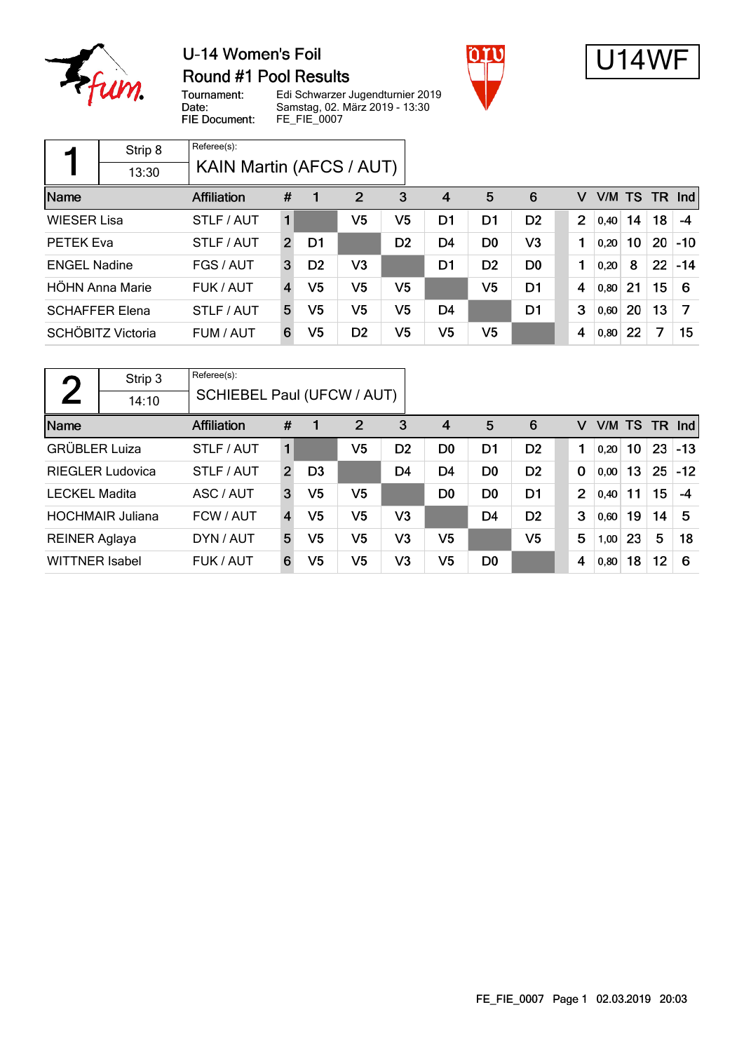

#### U-14 Women's Foil **Round #1 Pool Results**





Tournament: Date: FIE Document:

|                     | Strip 8               | Referee(s):              |                         |                |                |                |                |                |                |                |      |        |           |       |
|---------------------|-----------------------|--------------------------|-------------------------|----------------|----------------|----------------|----------------|----------------|----------------|----------------|------|--------|-----------|-------|
|                     | 13:30                 | KAIN Martin (AFCS / AUT) |                         |                |                |                |                |                |                |                |      |        |           |       |
| Name                |                       | <b>Affiliation</b>       | #                       |                | $\overline{2}$ | 3              | 4              | 5              | 6              | v              |      | V/M TS | <b>TR</b> | Ind   |
| <b>WIESER Lisa</b>  |                       | STLF / AUT               | 1                       |                | V <sub>5</sub> | V5             | D1             | D1             | D <sub>2</sub> | $\overline{2}$ | 0,40 | 14     | 18        | $-4$  |
| PETEK Eva           |                       | STLF / AUT               | $\overline{2}$          | D1             |                | D <sub>2</sub> | D <sub>4</sub> | D <sub>0</sub> | V3             | 1              | 0,20 | 10     | 20        | $-10$ |
| <b>ENGEL Nadine</b> |                       | FGS / AUT                | 3                       | D <sub>2</sub> | V <sub>3</sub> |                | D1             | D <sub>2</sub> | D <sub>0</sub> | 1              | 0,20 | 8      | 22        | $-14$ |
|                     | HÖHN Anna Marie       | FUK / AUT                | $\overline{\mathbf{4}}$ | V5             | V5             | V5             |                | V <sub>5</sub> | D1             | 4              | 0,80 | 21     | 15        | 6     |
|                     | <b>SCHAFFER Elena</b> | STLF / AUT               | 5                       | V5             | V <sub>5</sub> | V5             | D4             |                | D <sub>1</sub> | 3              | 0,60 | 20     | 13        | 7     |
|                     | SCHÖBITZ Victoria     | FUM / AUT                | 6                       | V5             | D <sub>2</sub> | V5             | V <sub>5</sub> | V <sub>5</sub> |                | 4              | 0,80 | 22     | 7         | 15    |

| η                     | Strip 3                 | Referee(s):                |                |                |                |                |                |                |                |                |      |    |    |                 |
|-----------------------|-------------------------|----------------------------|----------------|----------------|----------------|----------------|----------------|----------------|----------------|----------------|------|----|----|-----------------|
|                       | 14:10                   | SCHIEBEL Paul (UFCW / AUT) |                |                |                |                |                |                |                |                |      |    |    |                 |
| Name                  |                         | Affiliation                | #              |                | $\overline{2}$ | 3              | $\overline{4}$ | 5              | 6              | v              |      |    |    | $V/M$ TS TR Ind |
| <b>GRÜBLER Luiza</b>  |                         | STLF / AUT                 |                |                | V5             | D <sub>2</sub> | D <sub>0</sub> | D <sub>1</sub> | D <sub>2</sub> |                | 0,20 | 10 | 23 | $-13$           |
|                       | <b>RIEGLER Ludovica</b> | STLF / AUT                 | $\overline{2}$ | D <sub>3</sub> |                | D4             | D <sub>4</sub> | D <sub>0</sub> | D <sub>2</sub> | $\mathbf 0$    | 0,00 | 13 | 25 | $-12$           |
| <b>LECKEL Madita</b>  |                         | ASC / AUT                  | 3              | V5             | V5             |                | D <sub>0</sub> | D <sub>0</sub> | D1             | $\overline{2}$ | 0,40 | 11 | 15 | -4              |
|                       | <b>HOCHMAIR Juliana</b> | FCW / AUT                  | $\overline{4}$ | V5             | V <sub>5</sub> | V <sub>3</sub> |                | D <sub>4</sub> | D <sub>2</sub> | 3              | 0,60 | 19 | 14 | 5               |
| <b>REINER Aglaya</b>  |                         | DYN / AUT                  | 5              | V5             | V <sub>5</sub> | V <sub>3</sub> | V <sub>5</sub> |                | V <sub>5</sub> | 5              | 1,00 | 23 | 5  | 18              |
| <b>WITTNER Isabel</b> |                         | FUK / AUT                  | 6              | V5             | V5             | V3             | V <sub>5</sub> | D <sub>0</sub> |                | 4              | 0,80 | 18 | 12 | -6              |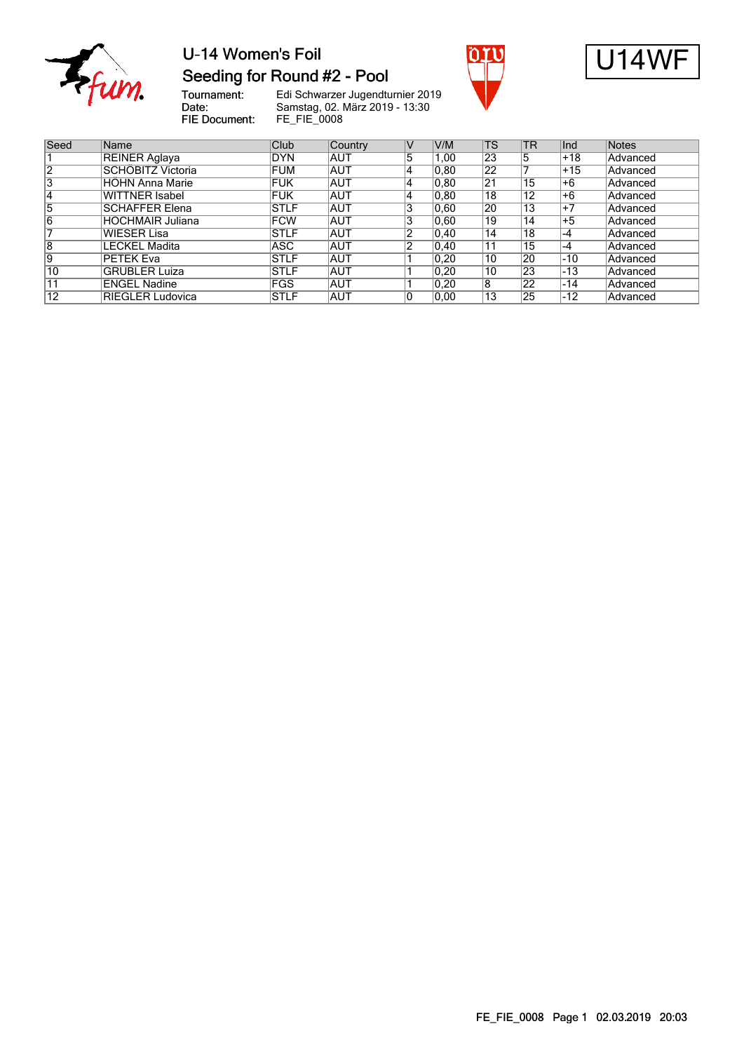

#### U-14 Women's Foil Seeding for Round #2 - Pool





Tournament:<br>Date: FIE Document:

| Seed           | Name                    | Club        | Country    | V  | V/M            | <b>TS</b> | <b>TR</b> | Ind   | Notes           |
|----------------|-------------------------|-------------|------------|----|----------------|-----------|-----------|-------|-----------------|
|                | <b>REINER Aglaya</b>    | DYN!        | <b>AUT</b> | 5  | 1.00           | 23        | 5         | $+18$ | <b>Advanced</b> |
| $\overline{2}$ | SCHÖBITZ Victoria       | <b>FUM</b>  | <b>AUT</b> | 4  | 0.80           | 22        |           | $+15$ | Advanced        |
| 3              | <b>HÖHN Anna Marie</b>  | <b>FUK</b>  | <b>AUT</b> | 14 | 0.80           | 21        | 15        | +6    | Advanced        |
| 14             | <b>WITTNER Isabel</b>   | <b>FUK</b>  | <b>AUT</b> | 4  | 0,80           | 18        | 12        | $+6$  | <b>Advanced</b> |
| 5              | <b>SCHAFFER Elena</b>   | <b>STLF</b> | <b>AUT</b> | 3  | 0.60           | 20        | 13        | $+7$  | Advanced        |
| 6              | <b>HOCHMAIR Juliana</b> | <b>FCW</b>  | AUT        | 3  | 0.60           | 19        | 14        | $+5$  | Advanced        |
|                | <b>WIESER Lisa</b>      | <b>STLF</b> | <b>AUT</b> | 2  | $ 0.40\rangle$ | 14        | 18        | -4    | Advanced        |
| 8              | <b>LECKEL Madita</b>    | ASC.        | <b>AUT</b> | 2  | $ 0.40\rangle$ | 11        | 15        | $-4$  | Advanced        |
| Ι9             | PETEK Eva               | <b>STLF</b> | AUT        |    | 0,20           | 10        | 20        | $-10$ | Advanced        |
| 10             | <b>GRÜBLER Luiza</b>    | <b>STLF</b> | <b>AUT</b> |    | 0.20           | 10        | 23        | -13   | Advanced        |
| 11             | <b>ENGEL Nadine</b>     | <b>FGS</b>  | AUT        |    | 0.20           | 8         | 22        | -14   | Advanced        |
| 12             | <b>RIEGLER Ludovica</b> | <b>STLF</b> | <b>AUT</b> | 0  | 0.00           | 13        | 25        | $-12$ | Advanced        |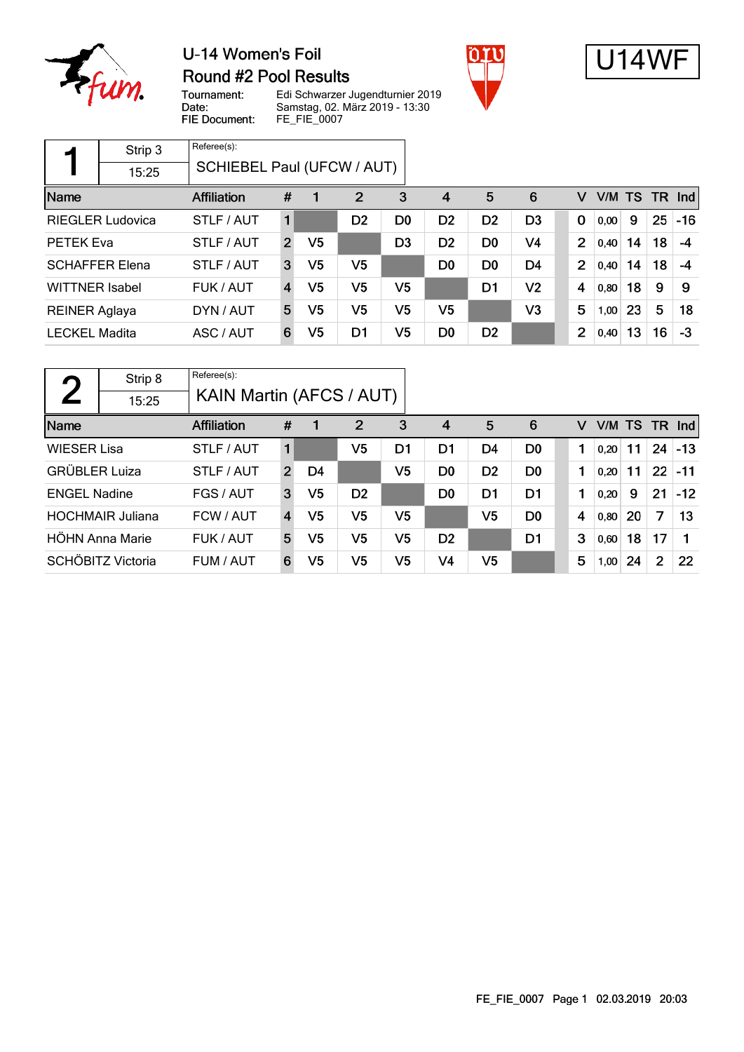

#### U-14 Women's Foil **Round #2 Pool Results**





Tournament:<br>Date: FIE Document:

|                       | Strip 3                 | Referee(s):                |                |                |                |                |                |                |                |                |      |        |     |       |
|-----------------------|-------------------------|----------------------------|----------------|----------------|----------------|----------------|----------------|----------------|----------------|----------------|------|--------|-----|-------|
|                       | 15:25                   | SCHIEBEL Paul (UFCW / AUT) |                |                |                |                |                |                |                |                |      |        |     |       |
| Name                  |                         | <b>Affiliation</b>         | #              |                | $\overline{2}$ | 3              | 4              | 5              | 6              | v              |      | V/M TS | TR. | Ind   |
|                       | <b>RIEGLER Ludovica</b> | STLF / AUT                 |                |                | D <sub>2</sub> | D <sub>0</sub> | D <sub>2</sub> | D <sub>2</sub> | D <sub>3</sub> | 0              | 0,00 | 9      | 25  | $-16$ |
| PETEK Eva             |                         | STLF / AUT                 | $\mathcal{P}$  | V <sub>5</sub> |                | D <sub>3</sub> | D <sub>2</sub> | D <sub>0</sub> | V4             | $\overline{2}$ | 0,40 | 14     | 18  | $-4$  |
|                       | <b>SCHAFFER Elena</b>   | STLF / AUT                 | 3              | V <sub>5</sub> | V <sub>5</sub> |                | D <sub>0</sub> | D <sub>0</sub> | D <sub>4</sub> | $\overline{2}$ | 0,40 | 14     | 18  | -4    |
| <b>WITTNER Isabel</b> |                         | FUK / AUT                  | $\overline{4}$ | V <sub>5</sub> | V5             | V5             |                | D1             | V <sub>2</sub> | 4              | 0,80 | 18     | 9   | 9     |
| <b>REINER Aglaya</b>  |                         | DYN / AUT                  | 5              | V <sub>5</sub> | V5             | V5             | V5             |                | V3             | 5              | 1,00 | 23     | 5   | 18    |
| <b>LECKEL Madita</b>  |                         | ASC / AUT                  | 6              | V5             | D1             | V5             | D <sub>0</sub> | D <sub>2</sub> |                | $\overline{2}$ | 0,40 | 13     | 16  | $-3$  |

| η                    | Strip 8                 | Referee(s):        |                          |                |                |                |                |                |                |  |   |      |           |                |       |
|----------------------|-------------------------|--------------------|--------------------------|----------------|----------------|----------------|----------------|----------------|----------------|--|---|------|-----------|----------------|-------|
|                      | 15:25                   |                    | KAIN Martin (AFCS / AUT) |                |                |                |                |                |                |  |   |      |           |                |       |
| Name                 |                         | <b>Affiliation</b> | #                        |                | $\overline{2}$ | 3              | $\overline{4}$ | 5              | 6              |  | v | V/M  | <b>TS</b> | <b>TR</b>      | Ind   |
| <b>WIESER Lisa</b>   |                         | STLF / AUT         | 1                        |                | V5             | D1             | D1             | D4             | D <sub>0</sub> |  |   | 0,20 | 11        | 24             | $-13$ |
| <b>GRÜBLER Luiza</b> |                         | STLF / AUT         | $\overline{2}$           | D4             |                | V <sub>5</sub> | D <sub>0</sub> | D <sub>2</sub> | D <sub>0</sub> |  |   | 0,20 | 11        | 22             | $-11$ |
| <b>ENGEL Nadine</b>  |                         | FGS / AUT          | 3                        | V5             | D <sub>2</sub> |                | D <sub>0</sub> | D <sub>1</sub> | D <sub>1</sub> |  |   | 0,20 | 9         | 21             | $-12$ |
|                      | <b>HOCHMAIR Juliana</b> | FCW / AUT          | 4                        | V <sub>5</sub> | V <sub>5</sub> | V <sub>5</sub> |                | V <sub>5</sub> | D <sub>0</sub> |  | 4 | 0,80 | 20        | 7              | 13    |
|                      | HÖHN Anna Marie         | FUK / AUT          | 5                        | V5             | V5             | V <sub>5</sub> | D <sub>2</sub> |                | D <sub>1</sub> |  | 3 | 0,60 | 18        | 17             | 1     |
|                      | SCHÖBITZ Victoria       | FUM / AUT          | 6                        | V5             | V <sub>5</sub> | V <sub>5</sub> | V <sub>4</sub> | V <sub>5</sub> |                |  | 5 | 1,00 | 24        | $\overline{2}$ | 22    |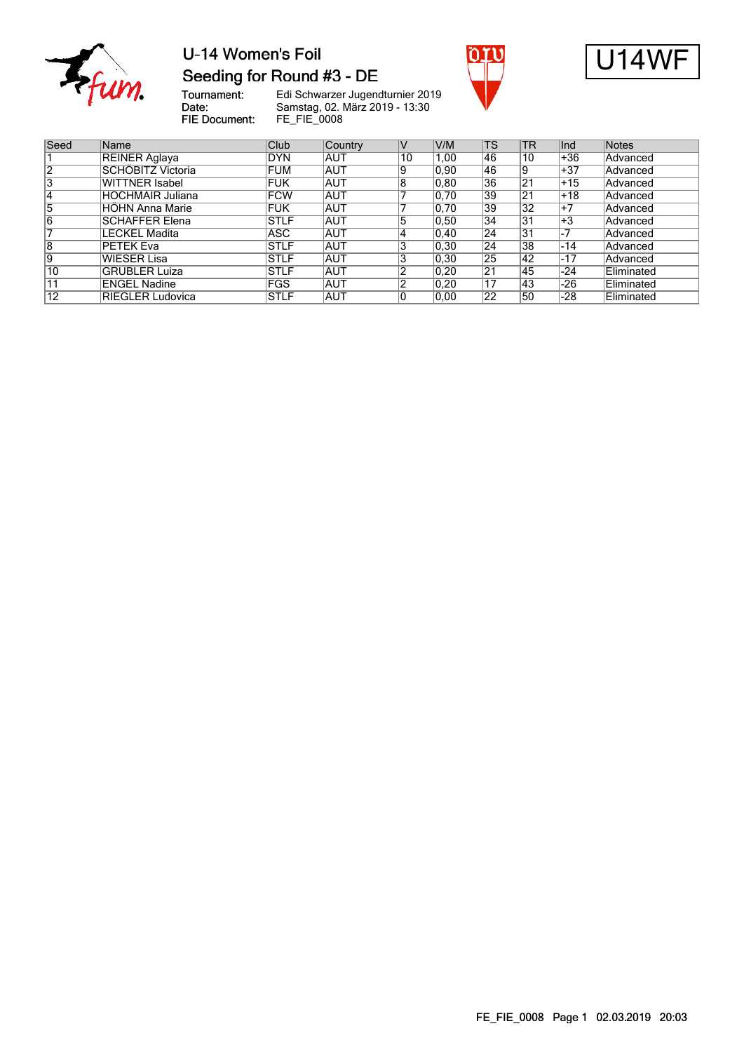

#### U-14 Women's Foil Seeding for Round #3 - DE





Tournament:<br>Date: FIE Document:

| Seed | Name                     | Club        | Country    | IV | V/M            | <b>TS</b> | TR             | lnd.  | <b>Notes</b> |
|------|--------------------------|-------------|------------|----|----------------|-----------|----------------|-------|--------------|
|      | REINER Aglaya            | DYN!        | AUT        | 10 | 1.00           | 46        | 10             | $+36$ | Advanced     |
| 12   | <b>SCHÖBITZ Victoria</b> | FUM         | <b>AUT</b> | 9  | 0.90           | 46        | 19             | $+37$ | Advanced     |
| 3    | <b>WITTNER Isabel</b>    | <b>FUK</b>  | <b>AUT</b> | 8  | 0.80           | 36        | 121            | $+15$ | Advanced     |
| 14   | <b>HOCHMAIR Juliana</b>  | <b>FCW</b>  | <b>AUT</b> |    | 0,70           | 39        | 2 <sub>1</sub> | $+18$ | Advanced     |
| 5    | HÖHN Anna Marie          | <b>FUK</b>  | <b>AUT</b> |    | 0,70           | 39        | 32             | $+7$  | Advanced     |
| 6    | <b>SCHAFFER Elena</b>    | ISTLF       | <b>AUT</b> | ۰h | 0.50           | 34        | 31             | $+3$  | Advanced     |
|      | LECKEL Madita            | ASC         | <b>AUT</b> |    | $ 0,40\rangle$ | 24        | 31             | -7    | Advanced     |
| 8    | PETEK Eva                | ISTLF       | <b>AUT</b> |    | $ 0,30\rangle$ | 24        | 38             | $-14$ | Advanced     |
| 19   | <b>WIESER Lisa</b>       | ISTLF       | <b>AUT</b> |    | 0.30           | 25        | 42             | $-17$ | Advanced     |
| 10   | GRÜBLER Luiza            | <b>STLF</b> | <b>AUT</b> |    | 0,20           | 21        | 45             | $-24$ | Eliminated   |
|      | <b>ENGEL Nadine</b>      | <b>FGS</b>  | <b>AUT</b> |    | $ 0,20\rangle$ | 17        | 43             | $-26$ | Eliminated   |
| 12   | <b>RIEGLER Ludovica</b>  | <b>STLF</b> | AUT        |    | 0.00           | 22        | 50             | $-28$ | Eliminated   |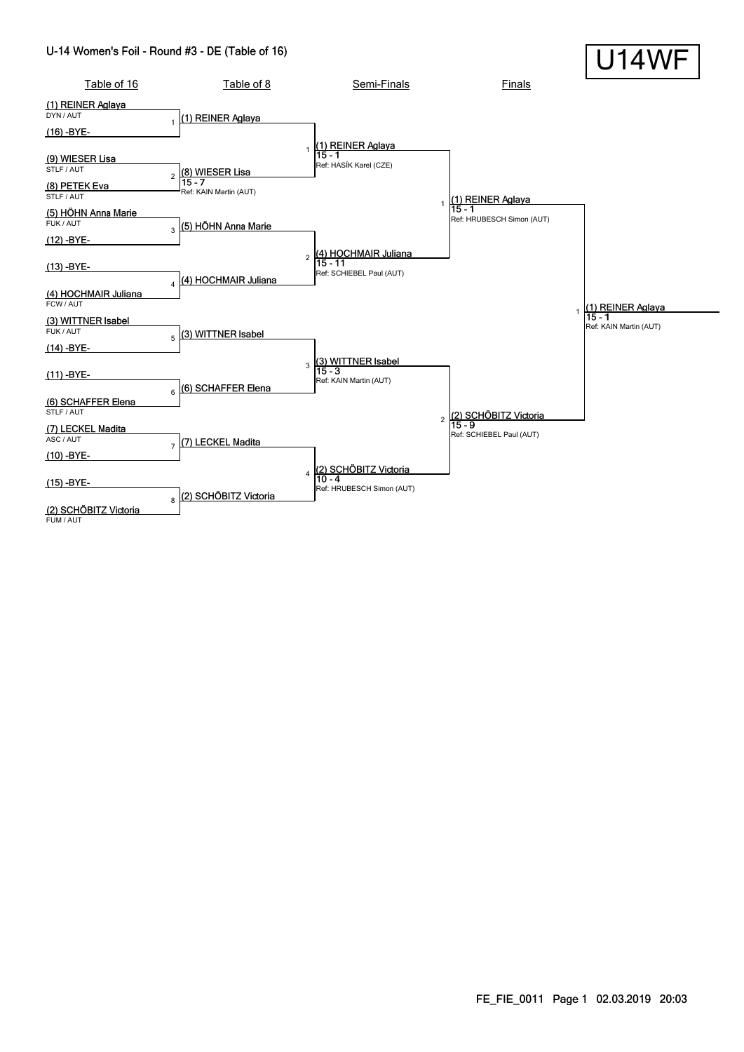#### U-14 Women's Foil - Round #3 - DE (Table of 16)

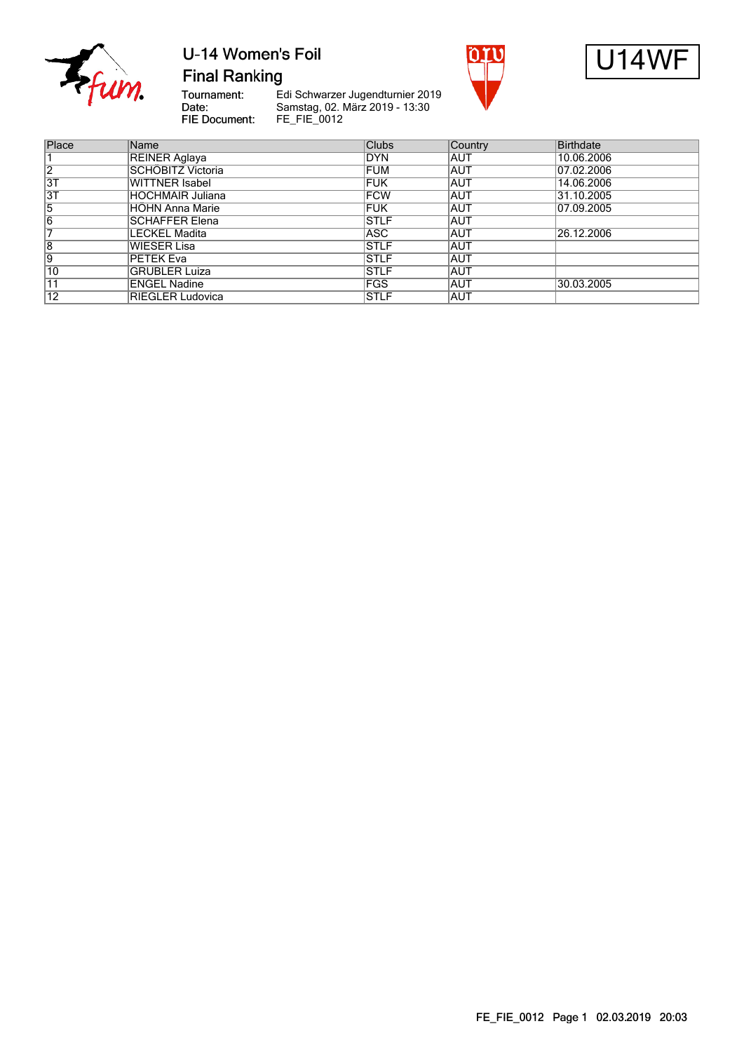

## U-14 Women's Foil





**Final Ranking** 

Tournament:<br>Date: FIE Document:

| Place           | Name                    | <b>Clubs</b> | <b>Country</b> | <b>Birthdate</b> |
|-----------------|-------------------------|--------------|----------------|------------------|
|                 | REINER Aglaya           | <b>DYN</b>   | IAUT           | 10.06.2006       |
| $\overline{2}$  | SCHÖBITZ Victoria       | <b>FUM</b>   | AUT            | 07.02.2006       |
| 3T              | WITTNER Isabel          | <b>FUK</b>   | <b>AUT</b>     | 14.06.2006       |
| $\overline{3T}$ | <b>HOCHMAIR Juliana</b> | <b>FCW</b>   | <b>AUT</b>     | 31.10.2005       |
| $\overline{5}$  | <b>HOHN Anna Marie</b>  | <b>FUK</b>   | IAUT           | 07.09.2005       |
| $\overline{6}$  | <b>SCHAFFER Elena</b>   | <b>STLF</b>  | <b>AUT</b>     |                  |
| 7               | <b>LECKEL Madita</b>    | <b>ASC</b>   | <b>AUT</b>     | 26.12.2006       |
| $\overline{8}$  | <b>WIESER Lisa</b>      | <b>STLF</b>  | IAUT           |                  |
| 9               | PETEK Eva               | <b>STLF</b>  | IAUT           |                  |
| 10              | <b>GRÜBLER Luiza</b>    | <b>STLF</b>  | <b>AUT</b>     |                  |
| 11              | <b>ENGEL Nadine</b>     | <b>FGS</b>   | IAUT           | 30.03.2005       |
| $\overline{12}$ | <b>RIEGLER Ludovica</b> | <b>STLF</b>  | IAUT           |                  |